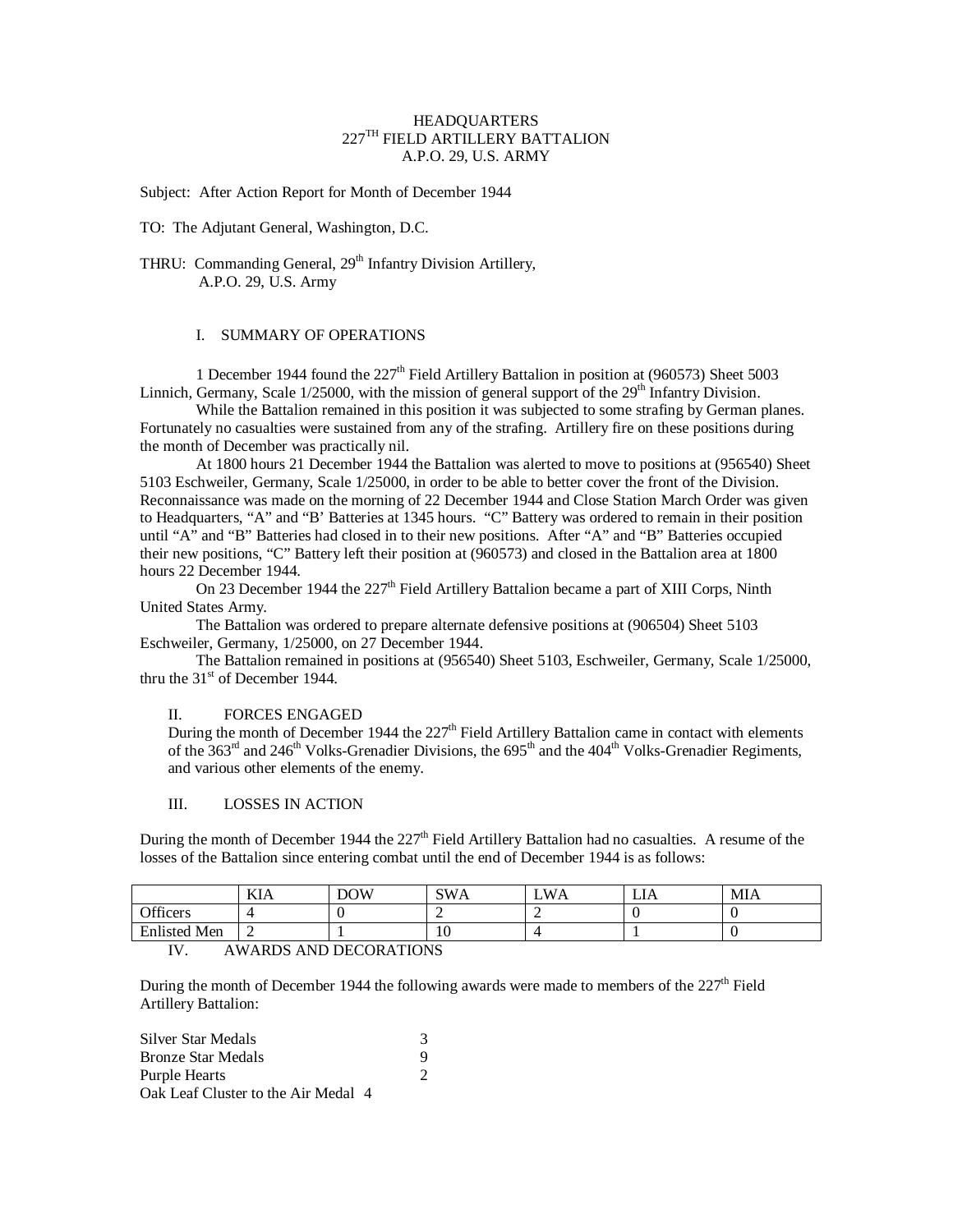# HEADQUARTERS 227TH FIELD ARTILLERY BATTALION A.P.O. 29, U.S. ARMY

Subject: After Action Report for Month of December 1944

TO: The Adjutant General, Washington, D.C.

THRU: Commanding General, 29<sup>th</sup> Infantry Division Artillery, A.P.O. 29, U.S. Army

# I. SUMMARY OF OPERATIONS

1 December 1944 found the  $227<sup>th</sup>$  Field Artillery Battalion in position at (960573) Sheet 5003 Linnich, Germany, Scale  $1/25000$ , with the mission of general support of the  $29<sup>th</sup>$  Infantry Division.

While the Battalion remained in this position it was subjected to some strafing by German planes. Fortunately no casualties were sustained from any of the strafing. Artillery fire on these positions during the month of December was practically nil.

At 1800 hours 21 December 1944 the Battalion was alerted to move to positions at (956540) Sheet 5103 Eschweiler, Germany, Scale 1/25000, in order to be able to better cover the front of the Division. Reconnaissance was made on the morning of 22 December 1944 and Close Station March Order was given to Headquarters, "A" and "B' Batteries at 1345 hours. "C" Battery was ordered to remain in their position until "A" and "B" Batteries had closed in to their new positions. After "A" and "B" Batteries occupied their new positions, "C" Battery left their position at (960573) and closed in the Battalion area at 1800 hours 22 December 1944.

On 23 December 1944 the 227<sup>th</sup> Field Artillery Battalion became a part of XIII Corps, Ninth United States Army.

The Battalion was ordered to prepare alternate defensive positions at (906504) Sheet 5103 Eschweiler, Germany, 1/25000, on 27 December 1944.

The Battalion remained in positions at (956540) Sheet 5103, Eschweiler, Germany, Scale 1/25000, thru the  $31<sup>st</sup>$  of December 1944.

#### II. FORCES ENGAGED

During the month of December 1944 the  $227<sup>th</sup>$  Field Artillery Battalion came in contact with elements of the 363<sup>rd</sup> and 246<sup>th</sup> Volks-Grenadier Divisions, the 695<sup>th</sup> and the 404<sup>th</sup> Volks-Grenadier Regiments, and various other elements of the enemy.

# III. LOSSES IN ACTION

During the month of December 1944 the 227<sup>th</sup> Field Artillery Battalion had no casualties. A resume of the losses of the Battalion since entering combat until the end of December 1944 is as follows:

|                                                                                    | ***<br>KІA | DOW | SW/ | . WA | LIA | MIA |
|------------------------------------------------------------------------------------|------------|-----|-----|------|-----|-----|
| Officers                                                                           |            |     |     |      |     |     |
| Enlisted<br><sup>1</sup> Men                                                       | ∸          |     | 1 V |      |     |     |
| $ -$<br>$1.771$ , $0.75$ , $0.175$ , $0.75$ , $0.75$ , $1.775$ , $0.775$ , $0.775$ |            |     |     |      |     |     |

# IV. AWARDS AND DECORATIONS

During the month of December 1944 the following awards were made to members of the  $227<sup>th</sup>$  Field Artillery Battalion:

| Silver Star Medals                  |  |
|-------------------------------------|--|
| <b>Bronze Star Medals</b>           |  |
| Purple Hearts                       |  |
| Oak Leaf Cluster to the Air Medal 4 |  |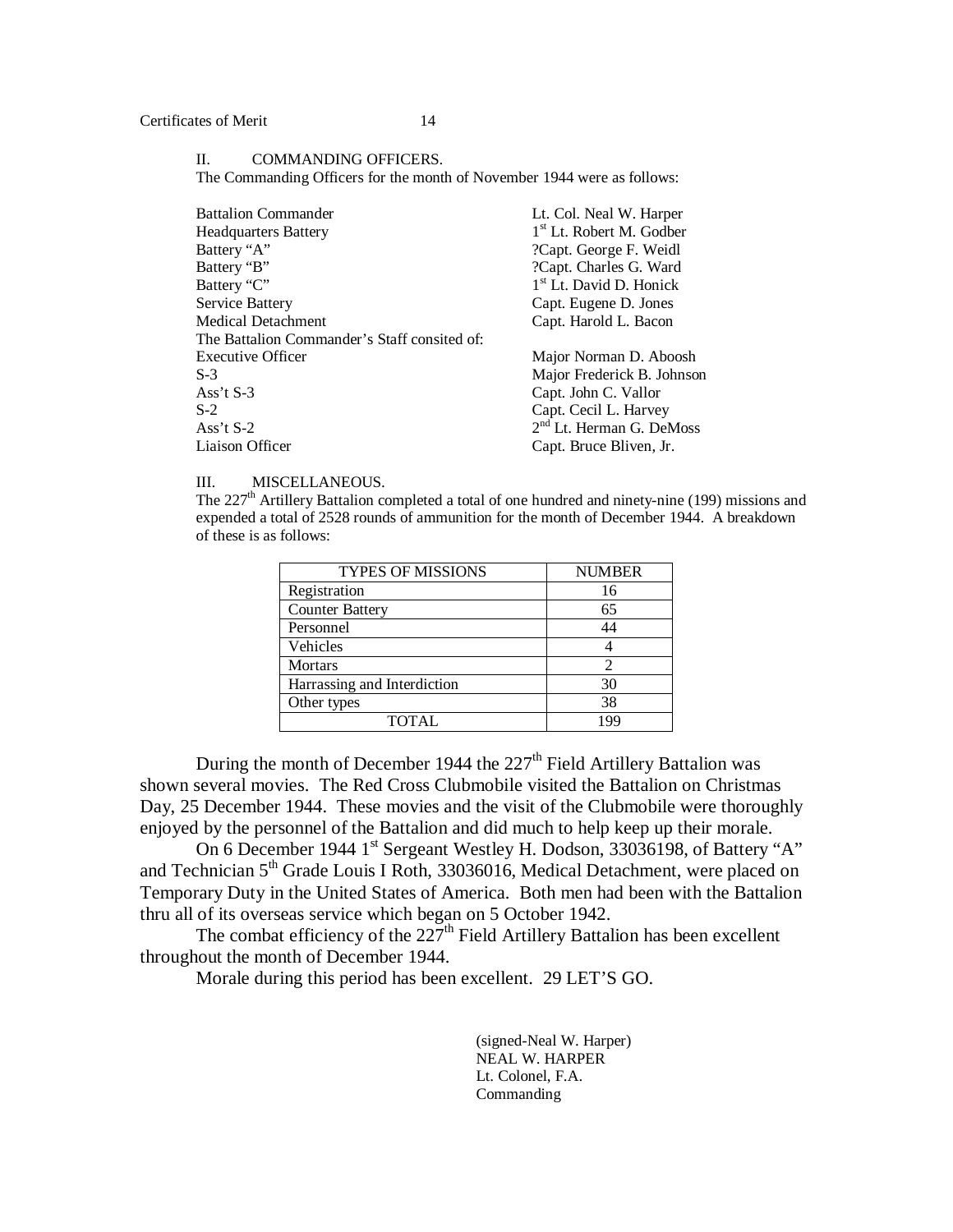### II. COMMANDING OFFICERS.

The Commanding Officers for the month of November 1944 were as follows:

| <b>Battalion Commander</b>                   | Lt. Col. Neal W. Harper              |
|----------------------------------------------|--------------------------------------|
| <b>Headquarters Battery</b>                  | 1 <sup>st</sup> Lt. Robert M. Godber |
| Battery "A"                                  | ?Capt. George F. Weidl               |
| Battery "B"                                  | ?Capt. Charles G. Ward               |
| Battery "C"                                  | 1 <sup>st</sup> Lt. David D. Honick  |
| Service Battery                              | Capt. Eugene D. Jones                |
| <b>Medical Detachment</b>                    | Capt. Harold L. Bacon                |
| The Battalion Commander's Staff consited of: |                                      |
| <b>Executive Officer</b>                     | Major Norman D. Aboosh               |
| $S-3$                                        | Major Frederick B. Johnson           |
| Ass't $S-3$                                  | Capt. John C. Vallor                 |
| $S-2$                                        | Capt. Cecil L. Harvey                |
| Ass't $S-2$                                  | $2nd$ Lt. Herman G. DeMoss           |
| Liaison Officer                              | Capt. Bruce Bliven, Jr.              |
|                                              |                                      |

### III. MISCELLANEOUS.

The  $227<sup>th</sup>$  Artillery Battalion completed a total of one hundred and ninety-nine (199) missions and expended a total of 2528 rounds of ammunition for the month of December 1944. A breakdown of these is as follows:

| <b>TYPES OF MISSIONS</b>    | <b>NUMBER</b> |
|-----------------------------|---------------|
| Registration                | 16            |
| <b>Counter Battery</b>      | 65            |
| Personnel                   | 44            |
| Vehicles                    |               |
| <b>Mortars</b>              |               |
| Harrassing and Interdiction | 30            |
| Other types                 | 38            |
| TOTAL                       |               |

During the month of December 1944 the  $227<sup>th</sup>$  Field Artillery Battalion was shown several movies. The Red Cross Clubmobile visited the Battalion on Christmas Day, 25 December 1944. These movies and the visit of the Clubmobile were thoroughly enjoyed by the personnel of the Battalion and did much to help keep up their morale.

On 6 December 1944 1<sup>st</sup> Sergeant Westley H. Dodson, 33036198, of Battery "A" and Technician 5<sup>th</sup> Grade Louis I Roth, 33036016, Medical Detachment, were placed on Temporary Duty in the United States of America. Both men had been with the Battalion thru all of its overseas service which began on 5 October 1942.

The combat efficiency of the  $227<sup>th</sup>$  Field Artillery Battalion has been excellent throughout the month of December 1944.

Morale during this period has been excellent. 29 LET'S GO.

(signed-Neal W. Harper) NEAL W. HARPER Lt. Colonel, F.A. Commanding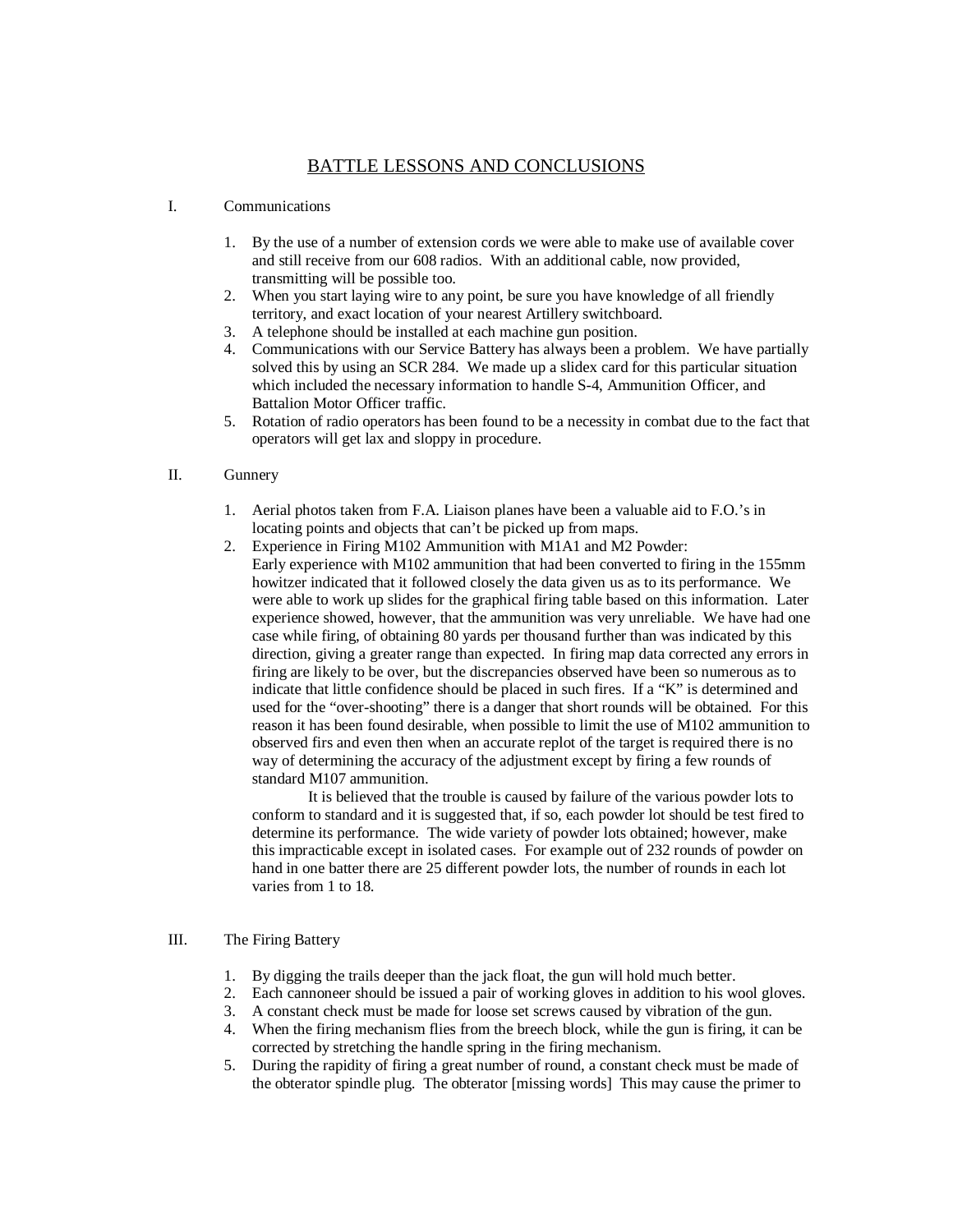# BATTLE LESSONS AND CONCLUSIONS

# I. Communications

- 1. By the use of a number of extension cords we were able to make use of available cover and still receive from our 608 radios. With an additional cable, now provided, transmitting will be possible too.
- 2. When you start laying wire to any point, be sure you have knowledge of all friendly territory, and exact location of your nearest Artillery switchboard.
- 3. A telephone should be installed at each machine gun position.
- 4. Communications with our Service Battery has always been a problem. We have partially solved this by using an SCR 284. We made up a slidex card for this particular situation which included the necessary information to handle S-4, Ammunition Officer, and Battalion Motor Officer traffic.
- 5. Rotation of radio operators has been found to be a necessity in combat due to the fact that operators will get lax and sloppy in procedure.

# II. Gunnery

- 1. Aerial photos taken from F.A. Liaison planes have been a valuable aid to F.O.'s in locating points and objects that can't be picked up from maps.
- 2. Experience in Firing M102 Ammunition with M1A1 and M2 Powder: Early experience with M102 ammunition that had been converted to firing in the 155mm howitzer indicated that it followed closely the data given us as to its performance. We were able to work up slides for the graphical firing table based on this information. Later experience showed, however, that the ammunition was very unreliable. We have had one case while firing, of obtaining 80 yards per thousand further than was indicated by this direction, giving a greater range than expected. In firing map data corrected any errors in firing are likely to be over, but the discrepancies observed have been so numerous as to indicate that little confidence should be placed in such fires. If a "K" is determined and used for the "over-shooting" there is a danger that short rounds will be obtained. For this reason it has been found desirable, when possible to limit the use of M102 ammunition to observed firs and even then when an accurate replot of the target is required there is no way of determining the accuracy of the adjustment except by firing a few rounds of standard M107 ammunition.

It is believed that the trouble is caused by failure of the various powder lots to conform to standard and it is suggested that, if so, each powder lot should be test fired to determine its performance. The wide variety of powder lots obtained; however, make this impracticable except in isolated cases. For example out of 232 rounds of powder on hand in one batter there are 25 different powder lots, the number of rounds in each lot varies from 1 to 18.

# III. The Firing Battery

- 1. By digging the trails deeper than the jack float, the gun will hold much better.
- 2. Each cannoneer should be issued a pair of working gloves in addition to his wool gloves.
- 3. A constant check must be made for loose set screws caused by vibration of the gun.
- 4. When the firing mechanism flies from the breech block, while the gun is firing, it can be corrected by stretching the handle spring in the firing mechanism.
- 5. During the rapidity of firing a great number of round, a constant check must be made of the obterator spindle plug. The obterator [missing words] This may cause the primer to